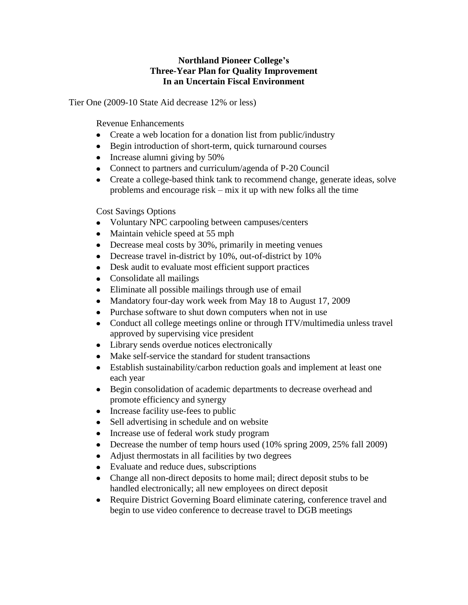## **Northland Pioneer College's Three-Year Plan for Quality Improvement In an Uncertain Fiscal Environment**

Tier One (2009-10 State Aid decrease 12% or less)

Revenue Enhancements

- Create a web location for a donation list from public/industry
- Begin introduction of short-term, quick turnaround courses
- Increase alumni giving by 50%
- Connect to partners and curriculum/agenda of P-20 Council
- Create a college-based think tank to recommend change, generate ideas, solve problems and encourage risk – mix it up with new folks all the time

Cost Savings Options

- Voluntary NPC carpooling between campuses/centers
- Maintain vehicle speed at 55 mph
- Decrease meal costs by 30%, primarily in meeting venues
- Decrease travel in-district by 10%, out-of-district by 10%
- Desk audit to evaluate most efficient support practices
- Consolidate all mailings
- Eliminate all possible mailings through use of email
- Mandatory four-day work week from May 18 to August 17, 2009
- Purchase software to shut down computers when not in use
- $\bullet$ Conduct all college meetings online or through ITV/multimedia unless travel approved by supervising vice president
- Library sends overdue notices electronically
- Make self-service the standard for student transactions  $\bullet$
- Establish sustainability/carbon reduction goals and implement at least one each year
- $\bullet$ Begin consolidation of academic departments to decrease overhead and promote efficiency and synergy
- Increase facility use-fees to public
- Sell advertising in schedule and on website  $\bullet$
- Increase use of federal work study program
- Decrease the number of temp hours used (10% spring 2009, 25% fall 2009)
- Adjust thermostats in all facilities by two degrees
- Evaluate and reduce dues, subscriptions
- Change all non-direct deposits to home mail; direct deposit stubs to be handled electronically; all new employees on direct deposit
- Require District Governing Board eliminate catering, conference travel and  $\bullet$ begin to use video conference to decrease travel to DGB meetings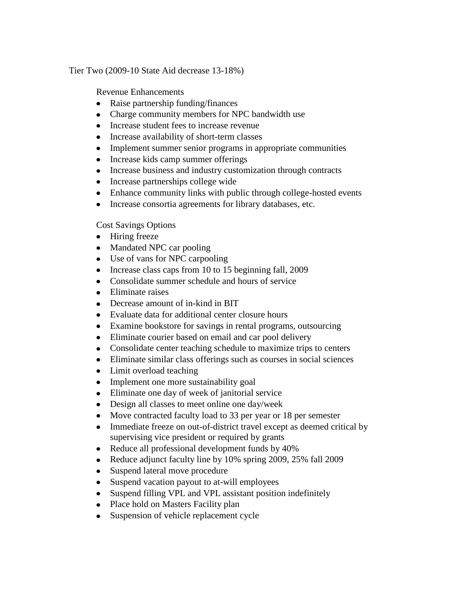Tier Two (2009-10 State Aid decrease 13-18%)

Revenue Enhancements

- Raise partnership funding/finances
- Charge community members for NPC bandwidth use
- $\bullet$ Increase student fees to increase revenue
- Increase availability of short-term classes
- Implement summer senior programs in appropriate communities  $\bullet$
- $\bullet$ Increase kids camp summer offerings
- Increase business and industry customization through contracts
- Increase partnerships college wide
- Enhance community links with public through college-hosted events
- Increase consortia agreements for library databases, etc.  $\bullet$

## Cost Savings Options

- Hiring freeze
- Mandated NPC car pooling
- Use of vans for NPC carpooling
- Increase class caps from 10 to 15 beginning fall, 2009
- Consolidate summer schedule and hours of service
- Eliminate raises
- $\bullet$ Decrease amount of in-kind in BIT
- $\bullet$ Evaluate data for additional center closure hours
- Examine bookstore for savings in rental programs, outsourcing
- Eliminate courier based on email and car pool delivery
- Consolidate center teaching schedule to maximize trips to centers  $\bullet$
- Eliminate similar class offerings such as courses in social sciences  $\bullet$
- Limit overload teaching  $\bullet$
- Implement one more sustainability goal  $\bullet$
- $\bullet$ Eliminate one day of week of janitorial service
- Design all classes to meet online one day/week  $\bullet$
- Move contracted faculty load to 33 per year or 18 per semester  $\bullet$
- Immediate freeze on out-of-district travel except as deemed critical by  $\bullet$ supervising vice president or required by grants
- Reduce all professional development funds by 40%  $\bullet$
- Reduce adjunct faculty line by 10% spring 2009, 25% fall 2009  $\bullet$
- Suspend lateral move procedure  $\bullet$
- Suspend vacation payout to at-will employees  $\bullet$
- Suspend filling VPL and VPL assistant position indefinitely  $\bullet$
- Place hold on Masters Facility plan
- Suspension of vehicle replacement cycle $\bullet$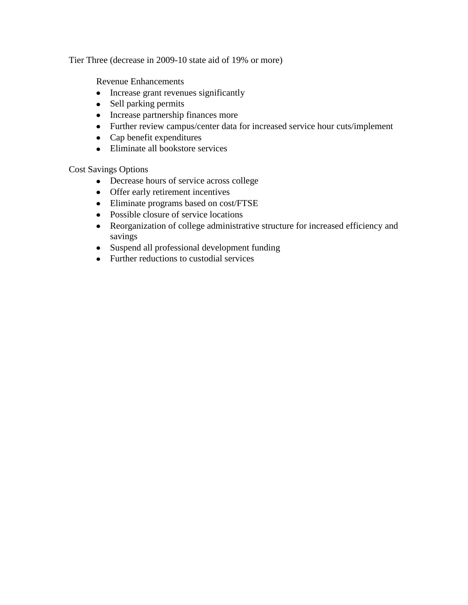Tier Three (decrease in 2009-10 state aid of 19% or more)

Revenue Enhancements

- Increase grant revenues significantly
- Sell parking permits
- Increase partnership finances more
- Further review campus/center data for increased service hour cuts/implement
- Cap benefit expenditures
- Eliminate all bookstore services

Cost Savings Options

- Decrease hours of service across college
- Offer early retirement incentives
- Eliminate programs based on cost/FTSE
- Possible closure of service locations
- Reorganization of college administrative structure for increased efficiency and savings
- Suspend all professional development funding
- Further reductions to custodial services